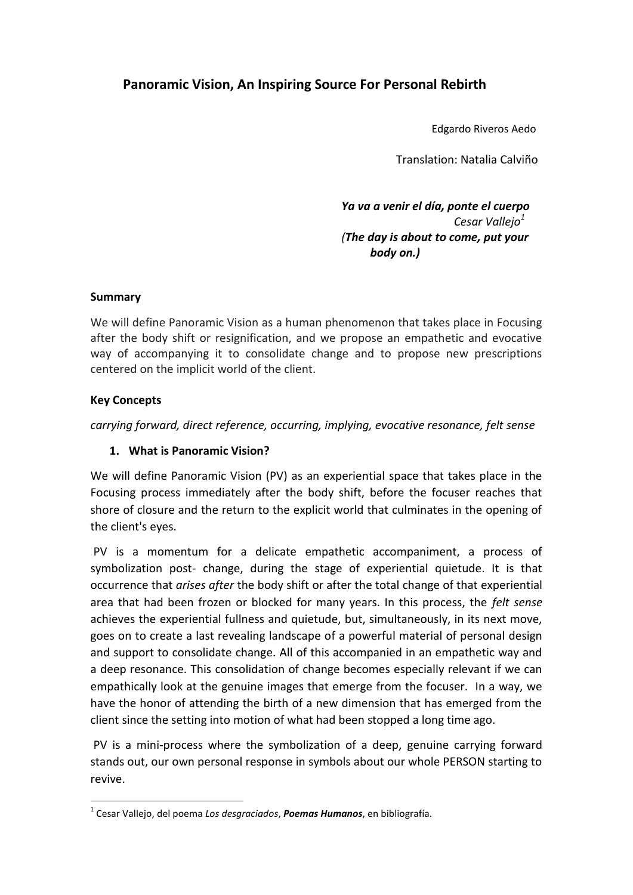# **Panoramic Vision, An Inspiring Source For Personal Rebirth**

Edgardo Riveros Aedo

Translation: Natalia Calviño

 *Ya va a venir el día, ponte el cuerpo Cesar Vallejo<sup>1</sup> (The day is about to come, put your body on.)*

## **Summary**

We will define Panoramic Vision as a human phenomenon that takes place in Focusing after the body shift or resignification, and we propose an empathetic and evocative way of accompanying it to consolidate change and to propose new prescriptions centered on the implicit world of the client.

#### **Key Concepts**

**.** 

*carrying forward, direct reference, occurring, implying, evocative resonance, felt sense*

## **1. What is Panoramic Vision?**

We will define Panoramic Vision (PV) as an experiential space that takes place in the Focusing process immediately after the body shift, before the focuser reaches that shore of closure and the return to the explicit world that culminates in the opening of the client's eyes.

PV is a momentum for a delicate empathetic accompaniment, a process of symbolization post- change, during the stage of experiential quietude. It is that occurrence that *arises after* the body shift or after the total change of that experiential area that had been frozen or blocked for many years. In this process, the *felt sense* achieves the experiential fullness and quietude, but, simultaneously, in its next move, goes on to create a last revealing landscape of a powerful material of personal design and support to consolidate change. All of this accompanied in an empathetic way and a deep resonance. This consolidation of change becomes especially relevant if we can empathically look at the genuine images that emerge from the focuser. In a way, we have the honor of attending the birth of a new dimension that has emerged from the client since the setting into motion of what had been stopped a long time ago.

PV is a mini-process where the symbolization of a deep, genuine carrying forward stands out, our own personal response in symbols about our whole PERSON starting to revive.

<sup>1</sup> Cesar Vallejo, del poema *Los desgraciados*, *Poemas Humanos*, en bibliografía.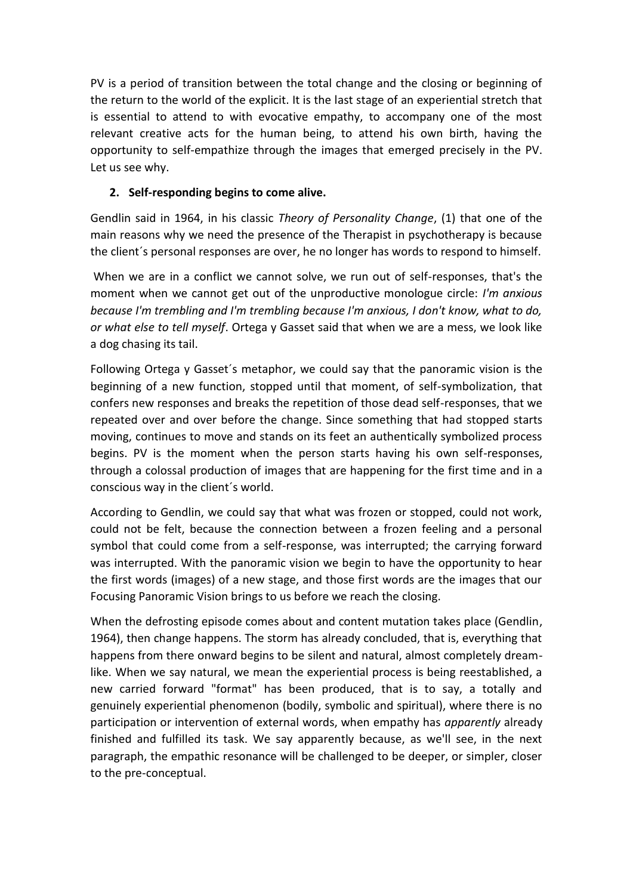PV is a period of transition between the total change and the closing or beginning of the return to the world of the explicit. It is the last stage of an experiential stretch that is essential to attend to with evocative empathy, to accompany one of the most relevant creative acts for the human being, to attend his own birth, having the opportunity to self-empathize through the images that emerged precisely in the PV. Let us see why.

## **2. Self-responding begins to come alive.**

Gendlin said in 1964, in his classic *Theory of Personality Change*, (1) that one of the main reasons why we need the presence of the Therapist in psychotherapy is because the client´s personal responses are over, he no longer has words to respond to himself.

When we are in a conflict we cannot solve, we run out of self-responses, that's the moment when we cannot get out of the unproductive monologue circle: *I'm anxious because I'm trembling and I'm trembling because I'm anxious, I don't know, what to do, or what else to tell myself*. Ortega y Gasset said that when we are a mess, we look like a dog chasing its tail.

Following Ortega y Gasset´s metaphor, we could say that the panoramic vision is the beginning of a new function, stopped until that moment, of self-symbolization, that confers new responses and breaks the repetition of those dead self-responses, that we repeated over and over before the change. Since something that had stopped starts moving, continues to move and stands on its feet an authentically symbolized process begins. PV is the moment when the person starts having his own self-responses, through a colossal production of images that are happening for the first time and in a conscious way in the client´s world.

According to Gendlin, we could say that what was frozen or stopped, could not work, could not be felt, because the connection between a frozen feeling and a personal symbol that could come from a self-response, was interrupted; the carrying forward was interrupted. With the panoramic vision we begin to have the opportunity to hear the first words (images) of a new stage, and those first words are the images that our Focusing Panoramic Vision brings to us before we reach the closing.

When the defrosting episode comes about and content mutation takes place (Gendlin, 1964), then change happens. The storm has already concluded, that is, everything that happens from there onward begins to be silent and natural, almost completely dreamlike. When we say natural, we mean the experiential process is being reestablished, a new carried forward "format" has been produced, that is to say, a totally and genuinely experiential phenomenon (bodily, symbolic and spiritual), where there is no participation or intervention of external words, when empathy has *apparently* already finished and fulfilled its task. We say apparently because, as we'll see, in the next paragraph, the empathic resonance will be challenged to be deeper, or simpler, closer to the pre-conceptual.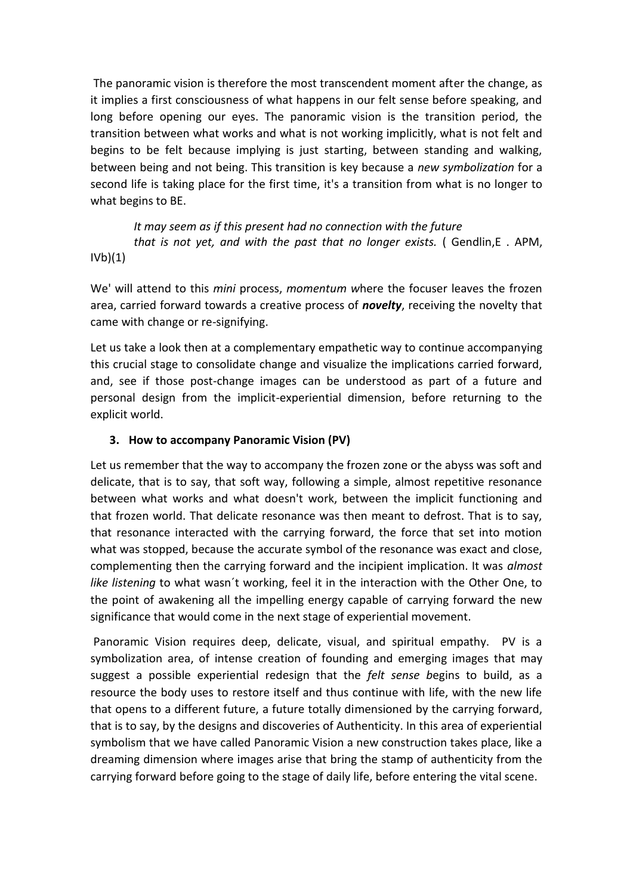The panoramic vision is therefore the most transcendent moment after the change, as it implies a first consciousness of what happens in our felt sense before speaking, and long before opening our eyes. The panoramic vision is the transition period, the transition between what works and what is not working implicitly, what is not felt and begins to be felt because implying is just starting, between standing and walking, between being and not being. This transition is key because a *new symbolization* for a second life is taking place for the first time, it's a transition from what is no longer to what begins to BE.

 *It may seem as if this present had no connection with the future that is not yet, and with the past that no longer exists.* ( Gendlin,E . APM,  $IVB$  $(1)$ 

We' will attend to this *mini* process, *momentum w*here the focuser leaves the frozen area, carried forward towards a creative process of *novelty*, receiving the novelty that came with change or re-signifying.

Let us take a look then at a complementary empathetic way to continue accompanying this crucial stage to consolidate change and visualize the implications carried forward, and, see if those post-change images can be understood as part of a future and personal design from the implicit-experiential dimension, before returning to the explicit world.

## **3. How to accompany Panoramic Vision (PV)**

Let us remember that the way to accompany the frozen zone or the abyss was soft and delicate, that is to say, that soft way, following a simple, almost repetitive resonance between what works and what doesn't work, between the implicit functioning and that frozen world. That delicate resonance was then meant to defrost. That is to say, that resonance interacted with the carrying forward, the force that set into motion what was stopped, because the accurate symbol of the resonance was exact and close, complementing then the carrying forward and the incipient implication. It was *almost like listening* to what wasn´t working, feel it in the interaction with the Other One, to the point of awakening all the impelling energy capable of carrying forward the new significance that would come in the next stage of experiential movement.

Panoramic Vision requires deep, delicate, visual, and spiritual empathy. PV is a symbolization area, of intense creation of founding and emerging images that may suggest a possible experiential redesign that the *felt sense b*egins to build, as a resource the body uses to restore itself and thus continue with life, with the new life that opens to a different future, a future totally dimensioned by the carrying forward, that is to say, by the designs and discoveries of Authenticity. In this area of experiential symbolism that we have called Panoramic Vision a new construction takes place, like a dreaming dimension where images arise that bring the stamp of authenticity from the carrying forward before going to the stage of daily life, before entering the vital scene.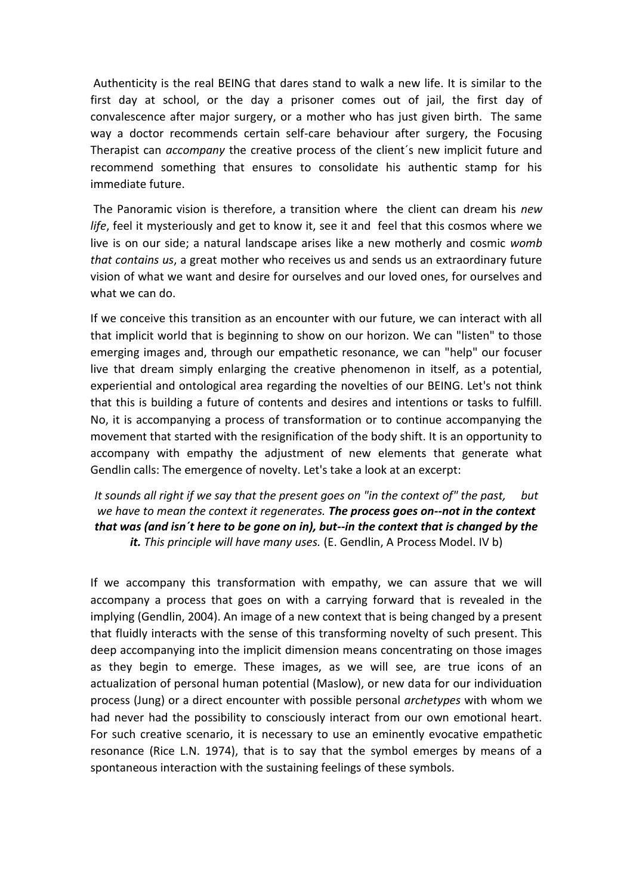Authenticity is the real BEING that dares stand to walk a new life. It is similar to the first day at school, or the day a prisoner comes out of jail, the first day of convalescence after major surgery, or a mother who has just given birth. The same way a doctor recommends certain self-care behaviour after surgery, the Focusing Therapist can *accompany* the creative process of the client´s new implicit future and recommend something that ensures to consolidate his authentic stamp for his immediate future.

The Panoramic vision is therefore, a transition where the client can dream his *new life*, feel it mysteriously and get to know it, see it and feel that this cosmos where we live is on our side; a natural landscape arises like a new motherly and cosmic *womb that contains us*, a great mother who receives us and sends us an extraordinary future vision of what we want and desire for ourselves and our loved ones, for ourselves and what we can do.

If we conceive this transition as an encounter with our future, we can interact with all that implicit world that is beginning to show on our horizon. We can "listen" to those emerging images and, through our empathetic resonance, we can "help" our focuser live that dream simply enlarging the creative phenomenon in itself, as a potential, experiential and ontological area regarding the novelties of our BEING. Let's not think that this is building a future of contents and desires and intentions or tasks to fulfill. No, it is accompanying a process of transformation or to continue accompanying the movement that started with the resignification of the body shift. It is an opportunity to accompany with empathy the adjustment of new elements that generate what Gendlin calls: The emergence of novelty. Let's take a look at an excerpt:

*It sounds all right if we say that the present goes on "in the context of" the past, but we have to mean the context it regenerates. The process goes on--not in the context that was (and isn´t here to be gone on in), but--in the context that is changed by the it. This principle will have many uses.* (E. Gendlin, A Process Model. IV b)

If we accompany this transformation with empathy, we can assure that we will accompany a process that goes on with a carrying forward that is revealed in the implying (Gendlin, 2004). An image of a new context that is being changed by a present that fluidly interacts with the sense of this transforming novelty of such present. This deep accompanying into the implicit dimension means concentrating on those images as they begin to emerge. These images, as we will see, are true icons of an actualization of personal human potential (Maslow), or new data for our individuation process (Jung) or a direct encounter with possible personal *archetypes* with whom we had never had the possibility to consciously interact from our own emotional heart. For such creative scenario, it is necessary to use an eminently evocative empathetic resonance (Rice L.N. 1974), that is to say that the symbol emerges by means of a spontaneous interaction with the sustaining feelings of these symbols.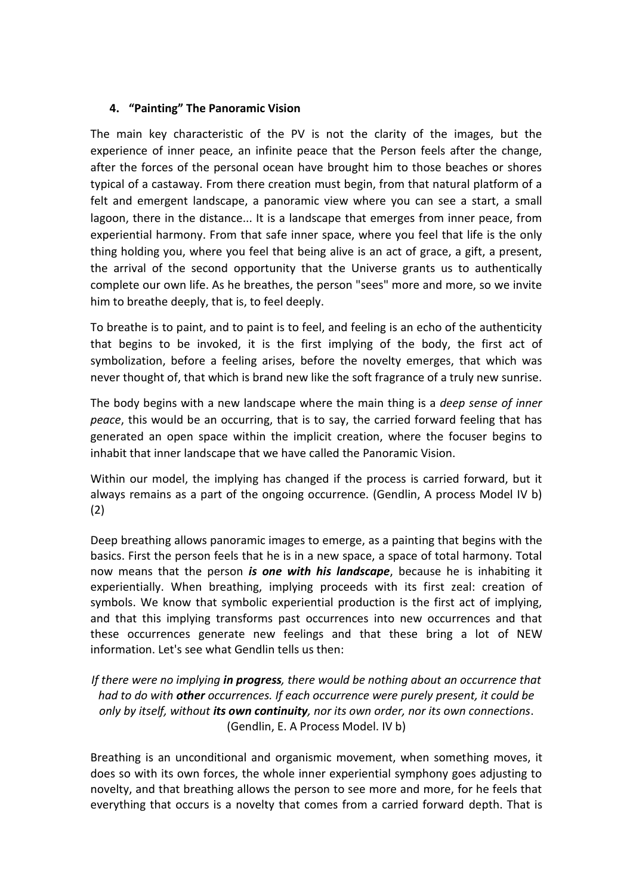## **4. "Painting" The Panoramic Vision**

The main key characteristic of the PV is not the clarity of the images, but the experience of inner peace, an infinite peace that the Person feels after the change, after the forces of the personal ocean have brought him to those beaches or shores typical of a castaway. From there creation must begin, from that natural platform of a felt and emergent landscape, a panoramic view where you can see a start, a small lagoon, there in the distance... It is a landscape that emerges from inner peace, from experiential harmony. From that safe inner space, where you feel that life is the only thing holding you, where you feel that being alive is an act of grace, a gift, a present, the arrival of the second opportunity that the Universe grants us to authentically complete our own life. As he breathes, the person "sees" more and more, so we invite him to breathe deeply, that is, to feel deeply.

To breathe is to paint, and to paint is to feel, and feeling is an echo of the authenticity that begins to be invoked, it is the first implying of the body, the first act of symbolization, before a feeling arises, before the novelty emerges, that which was never thought of, that which is brand new like the soft fragrance of a truly new sunrise.

The body begins with a new landscape where the main thing is a *deep sense of inner peace*, this would be an occurring, that is to say, the carried forward feeling that has generated an open space within the implicit creation, where the focuser begins to inhabit that inner landscape that we have called the Panoramic Vision.

Within our model, the implying has changed if the process is carried forward, but it always remains as a part of the ongoing occurrence. (Gendlin, A process Model IV b) (2)

Deep breathing allows panoramic images to emerge, as a painting that begins with the basics. First the person feels that he is in a new space, a space of total harmony. Total now means that the person *is one with his landscape*, because he is inhabiting it experientially. When breathing, implying proceeds with its first zeal: creation of symbols. We know that symbolic experiential production is the first act of implying, and that this implying transforms past occurrences into new occurrences and that these occurrences generate new feelings and that these bring a lot of NEW information. Let's see what Gendlin tells us then:

*If there were no implying in progress, there would be nothing about an occurrence that had to do with other occurrences. If each occurrence were purely present, it could be only by itself, without its own continuity, nor its own order, nor its own connections*. (Gendlin, E. A Process Model. IV b)

Breathing is an unconditional and organismic movement, when something moves, it does so with its own forces, the whole inner experiential symphony goes adjusting to novelty, and that breathing allows the person to see more and more, for he feels that everything that occurs is a novelty that comes from a carried forward depth. That is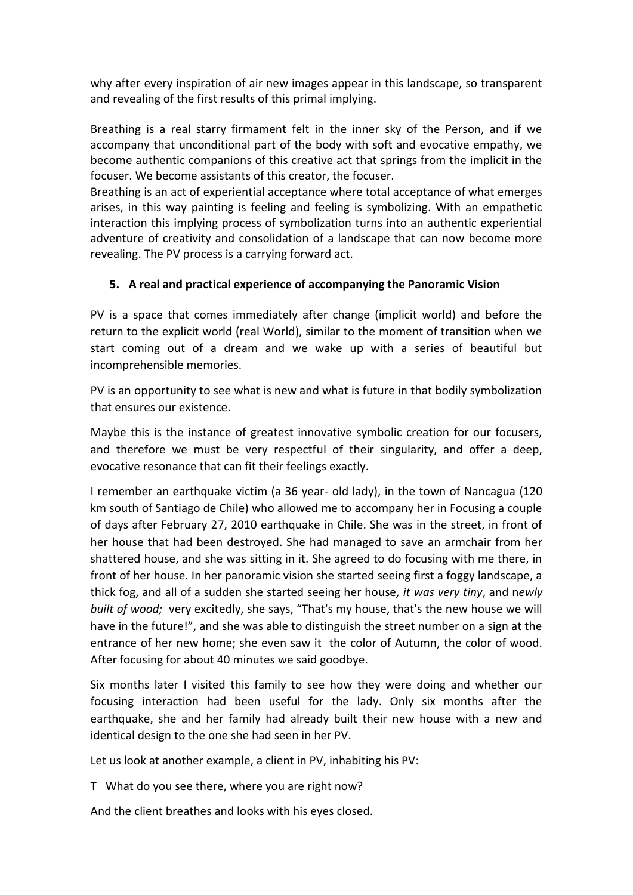why after every inspiration of air new images appear in this landscape, so transparent and revealing of the first results of this primal implying.

Breathing is a real starry firmament felt in the inner sky of the Person, and if we accompany that unconditional part of the body with soft and evocative empathy, we become authentic companions of this creative act that springs from the implicit in the focuser. We become assistants of this creator, the focuser.

Breathing is an act of experiential acceptance where total acceptance of what emerges arises, in this way painting is feeling and feeling is symbolizing. With an empathetic interaction this implying process of symbolization turns into an authentic experiential adventure of creativity and consolidation of a landscape that can now become more revealing. The PV process is a carrying forward act.

## **5. A real and practical experience of accompanying the Panoramic Vision**

PV is a space that comes immediately after change (implicit world) and before the return to the explicit world (real World), similar to the moment of transition when we start coming out of a dream and we wake up with a series of beautiful but incomprehensible memories.

PV is an opportunity to see what is new and what is future in that bodily symbolization that ensures our existence.

Maybe this is the instance of greatest innovative symbolic creation for our focusers, and therefore we must be very respectful of their singularity, and offer a deep, evocative resonance that can fit their feelings exactly.

I remember an earthquake victim (a 36 year- old lady), in the town of Nancagua (120 km south of Santiago de Chile) who allowed me to accompany her in Focusing a couple of days after February 27, 2010 earthquake in Chile. She was in the street, in front of her house that had been destroyed. She had managed to save an armchair from her shattered house, and she was sitting in it. She agreed to do focusing with me there, in front of her house. In her panoramic vision she started seeing first a foggy landscape, a thick fog, and all of a sudden she started seeing her house*, it was very tiny*, and n*ewly built of wood;* very excitedly, she says, "That's my house, that's the new house we will have in the future!", and she was able to distinguish the street number on a sign at the entrance of her new home; she even saw it the color of Autumn, the color of wood. After focusing for about 40 minutes we said goodbye.

Six months later I visited this family to see how they were doing and whether our focusing interaction had been useful for the lady. Only six months after the earthquake, she and her family had already built their new house with a new and identical design to the one she had seen in her PV.

Let us look at another example, a client in PV, inhabiting his PV:

T What do you see there, where you are right now?

And the client breathes and looks with his eyes closed.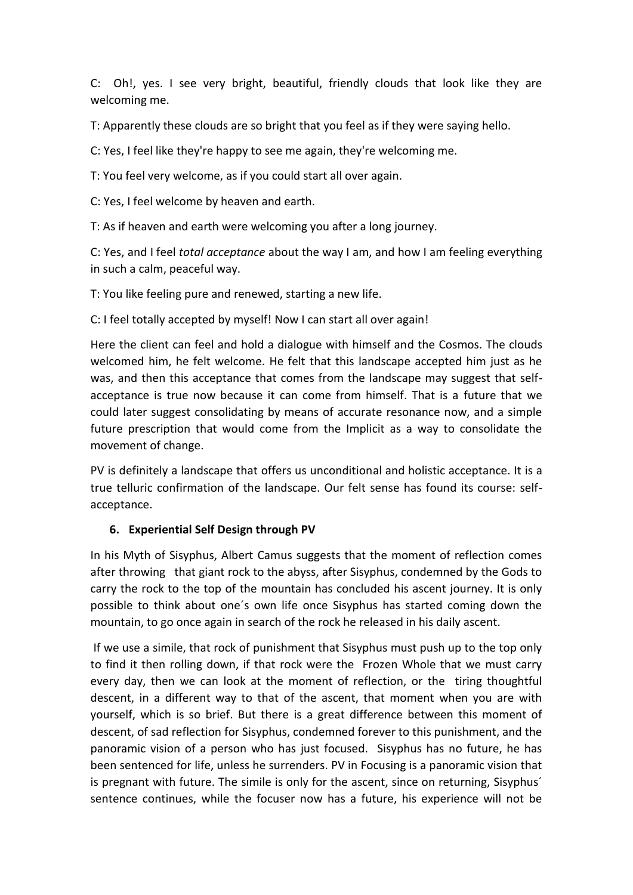C: Oh!, yes. I see very bright, beautiful, friendly clouds that look like they are welcoming me.

T: Apparently these clouds are so bright that you feel as if they were saying hello.

C: Yes, I feel like they're happy to see me again, they're welcoming me.

T: You feel very welcome, as if you could start all over again.

C: Yes, I feel welcome by heaven and earth.

T: As if heaven and earth were welcoming you after a long journey.

C: Yes, and I feel *total acceptance* about the way I am, and how I am feeling everything in such a calm, peaceful way.

T: You like feeling pure and renewed, starting a new life.

C: I feel totally accepted by myself! Now I can start all over again!

Here the client can feel and hold a dialogue with himself and the Cosmos. The clouds welcomed him, he felt welcome. He felt that this landscape accepted him just as he was, and then this acceptance that comes from the landscape may suggest that selfacceptance is true now because it can come from himself. That is a future that we could later suggest consolidating by means of accurate resonance now, and a simple future prescription that would come from the Implicit as a way to consolidate the movement of change.

PV is definitely a landscape that offers us unconditional and holistic acceptance. It is a true telluric confirmation of the landscape. Our felt sense has found its course: selfacceptance.

## **6. Experiential Self Design through PV**

In his Myth of Sisyphus, Albert Camus suggests that the moment of reflection comes after throwing that giant rock to the abyss, after Sisyphus, condemned by the Gods to carry the rock to the top of the mountain has concluded his ascent journey. It is only possible to think about one´s own life once Sisyphus has started coming down the mountain, to go once again in search of the rock he released in his daily ascent.

If we use a simile, that rock of punishment that Sisyphus must push up to the top only to find it then rolling down, if that rock were the Frozen Whole that we must carry every day, then we can look at the moment of reflection, or the tiring thoughtful descent, in a different way to that of the ascent, that moment when you are with yourself, which is so brief. But there is a great difference between this moment of descent, of sad reflection for Sisyphus, condemned forever to this punishment, and the panoramic vision of a person who has just focused. Sisyphus has no future, he has been sentenced for life, unless he surrenders. PV in Focusing is a panoramic vision that is pregnant with future. The simile is only for the ascent, since on returning, Sisyphus´ sentence continues, while the focuser now has a future, his experience will not be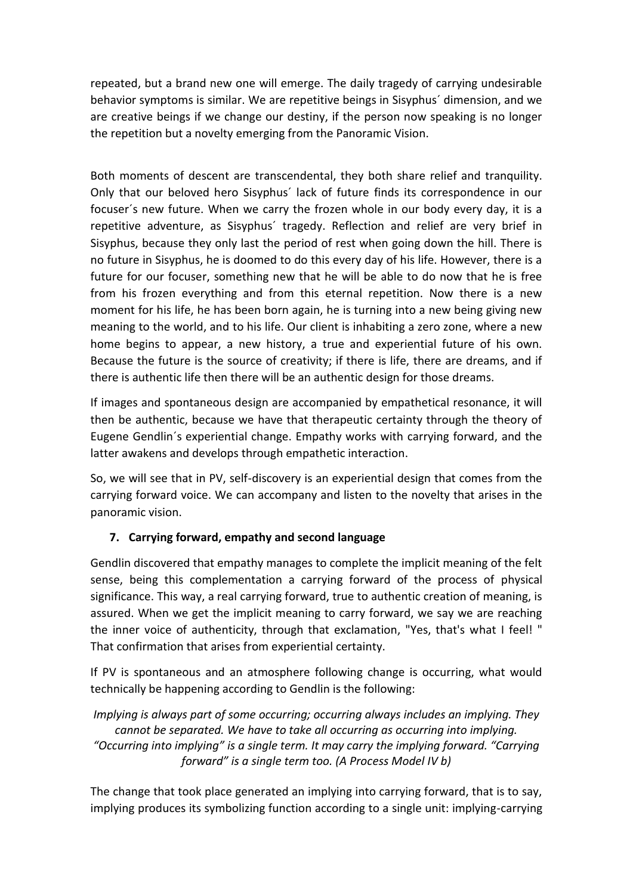repeated, but a brand new one will emerge. The daily tragedy of carrying undesirable behavior symptoms is similar. We are repetitive beings in Sisyphus´ dimension, and we are creative beings if we change our destiny, if the person now speaking is no longer the repetition but a novelty emerging from the Panoramic Vision.

Both moments of descent are transcendental, they both share relief and tranquility. Only that our beloved hero Sisyphus´ lack of future finds its correspondence in our focuser´s new future. When we carry the frozen whole in our body every day, it is a repetitive adventure, as Sisyphus´ tragedy. Reflection and relief are very brief in Sisyphus, because they only last the period of rest when going down the hill. There is no future in Sisyphus, he is doomed to do this every day of his life. However, there is a future for our focuser, something new that he will be able to do now that he is free from his frozen everything and from this eternal repetition. Now there is a new moment for his life, he has been born again, he is turning into a new being giving new meaning to the world, and to his life. Our client is inhabiting a zero zone, where a new home begins to appear, a new history, a true and experiential future of his own. Because the future is the source of creativity; if there is life, there are dreams, and if there is authentic life then there will be an authentic design for those dreams.

If images and spontaneous design are accompanied by empathetical resonance, it will then be authentic, because we have that therapeutic certainty through the theory of Eugene Gendlin´s experiential change. Empathy works with carrying forward, and the latter awakens and develops through empathetic interaction.

So, we will see that in PV, self-discovery is an experiential design that comes from the carrying forward voice. We can accompany and listen to the novelty that arises in the panoramic vision.

## **7. Carrying forward, empathy and second language**

Gendlin discovered that empathy manages to complete the implicit meaning of the felt sense, being this complementation a carrying forward of the process of physical significance. This way, a real carrying forward, true to authentic creation of meaning, is assured. When we get the implicit meaning to carry forward, we say we are reaching the inner voice of authenticity, through that exclamation, "Yes, that's what I feel! " That confirmation that arises from experiential certainty.

If PV is spontaneous and an atmosphere following change is occurring, what would technically be happening according to Gendlin is the following:

*Implying is always part of some occurring; occurring always includes an implying. They cannot be separated. We have to take all occurring as occurring into implying. "Occurring into implying" is a single term. It may carry the implying forward. "Carrying forward" is a single term too. (A Process Model IV b)*

The change that took place generated an implying into carrying forward, that is to say, implying produces its symbolizing function according to a single unit: implying-carrying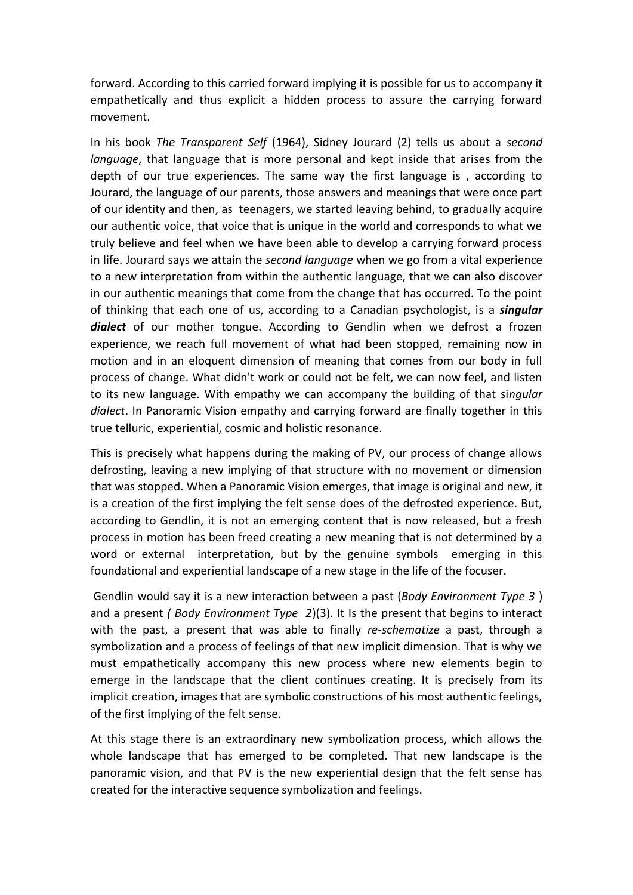forward. According to this carried forward implying it is possible for us to accompany it empathetically and thus explicit a hidden process to assure the carrying forward movement.

In his book *The Transparent Self* (1964), Sidney Jourard (2) tells us about a *second language*, that language that is more personal and kept inside that arises from the depth of our true experiences. The same way the first language is , according to Jourard, the language of our parents, those answers and meanings that were once part of our identity and then, as teenagers, we started leaving behind, to gradually acquire our authentic voice, that voice that is unique in the world and corresponds to what we truly believe and feel when we have been able to develop a carrying forward process in life. Jourard says we attain the *second language* when we go from a vital experience to a new interpretation from within the authentic language, that we can also discover in our authentic meanings that come from the change that has occurred. To the point of thinking that each one of us, according to a Canadian psychologist, is a *singular dialect* of our mother tongue. According to Gendlin when we defrost a frozen experience, we reach full movement of what had been stopped, remaining now in motion and in an eloquent dimension of meaning that comes from our body in full process of change. What didn't work or could not be felt, we can now feel, and listen to its new language. With empathy we can accompany the building of that si*ngular dialect*. In Panoramic Vision empathy and carrying forward are finally together in this true telluric, experiential, cosmic and holistic resonance.

This is precisely what happens during the making of PV, our process of change allows defrosting, leaving a new implying of that structure with no movement or dimension that was stopped. When a Panoramic Vision emerges, that image is original and new, it is a creation of the first implying the felt sense does of the defrosted experience. But, according to Gendlin, it is not an emerging content that is now released, but a fresh process in motion has been freed creating a new meaning that is not determined by a word or external interpretation, but by the genuine symbols emerging in this foundational and experiential landscape of a new stage in the life of the focuser.

Gendlin would say it is a new interaction between a past (*Body Environment Type 3* ) and a present *( Body Environment Type 2*)(3). It Is the present that begins to interact with the past, a present that was able to finally *re-schematize* a past, through a symbolization and a process of feelings of that new implicit dimension. That is why we must empathetically accompany this new process where new elements begin to emerge in the landscape that the client continues creating. It is precisely from its implicit creation, images that are symbolic constructions of his most authentic feelings, of the first implying of the felt sense.

At this stage there is an extraordinary new symbolization process, which allows the whole landscape that has emerged to be completed. That new landscape is the panoramic vision, and that PV is the new experiential design that the felt sense has created for the interactive sequence symbolization and feelings.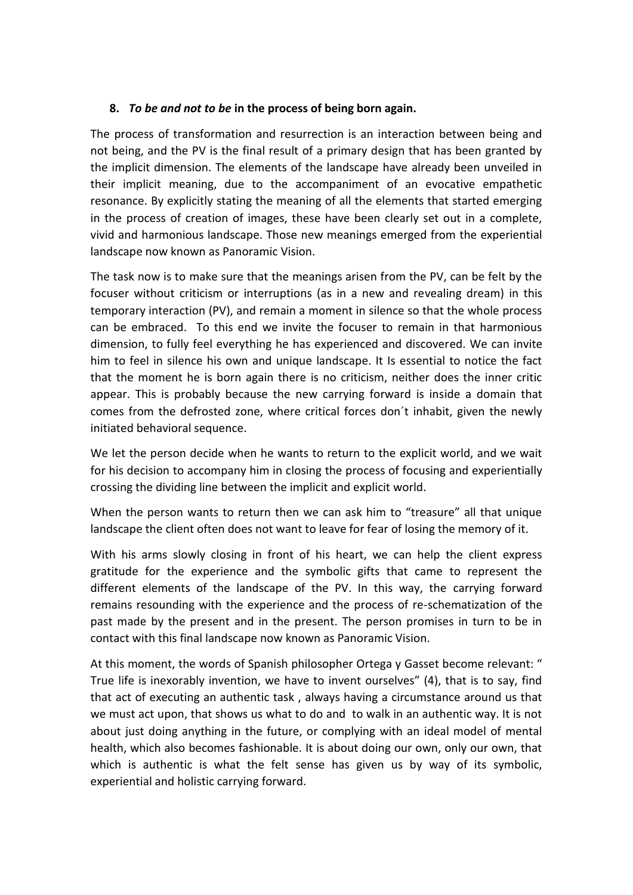#### **8.** *To be and not to be* **in the process of being born again.**

The process of transformation and resurrection is an interaction between being and not being, and the PV is the final result of a primary design that has been granted by the implicit dimension. The elements of the landscape have already been unveiled in their implicit meaning, due to the accompaniment of an evocative empathetic resonance. By explicitly stating the meaning of all the elements that started emerging in the process of creation of images, these have been clearly set out in a complete, vivid and harmonious landscape. Those new meanings emerged from the experiential landscape now known as Panoramic Vision.

The task now is to make sure that the meanings arisen from the PV, can be felt by the focuser without criticism or interruptions (as in a new and revealing dream) in this temporary interaction (PV), and remain a moment in silence so that the whole process can be embraced. To this end we invite the focuser to remain in that harmonious dimension, to fully feel everything he has experienced and discovered. We can invite him to feel in silence his own and unique landscape. It Is essential to notice the fact that the moment he is born again there is no criticism, neither does the inner critic appear. This is probably because the new carrying forward is inside a domain that comes from the defrosted zone, where critical forces don´t inhabit, given the newly initiated behavioral sequence.

We let the person decide when he wants to return to the explicit world, and we wait for his decision to accompany him in closing the process of focusing and experientially crossing the dividing line between the implicit and explicit world.

When the person wants to return then we can ask him to "treasure" all that unique landscape the client often does not want to leave for fear of losing the memory of it.

With his arms slowly closing in front of his heart, we can help the client express gratitude for the experience and the symbolic gifts that came to represent the different elements of the landscape of the PV. In this way, the carrying forward remains resounding with the experience and the process of re-schematization of the past made by the present and in the present. The person promises in turn to be in contact with this final landscape now known as Panoramic Vision.

At this moment, the words of Spanish philosopher Ortega y Gasset become relevant: " True life is inexorably invention, we have to invent ourselves" (4), that is to say, find that act of executing an authentic task , always having a circumstance around us that we must act upon, that shows us what to do and to walk in an authentic way. It is not about just doing anything in the future, or complying with an ideal model of mental health, which also becomes fashionable. It is about doing our own, only our own, that which is authentic is what the felt sense has given us by way of its symbolic, experiential and holistic carrying forward.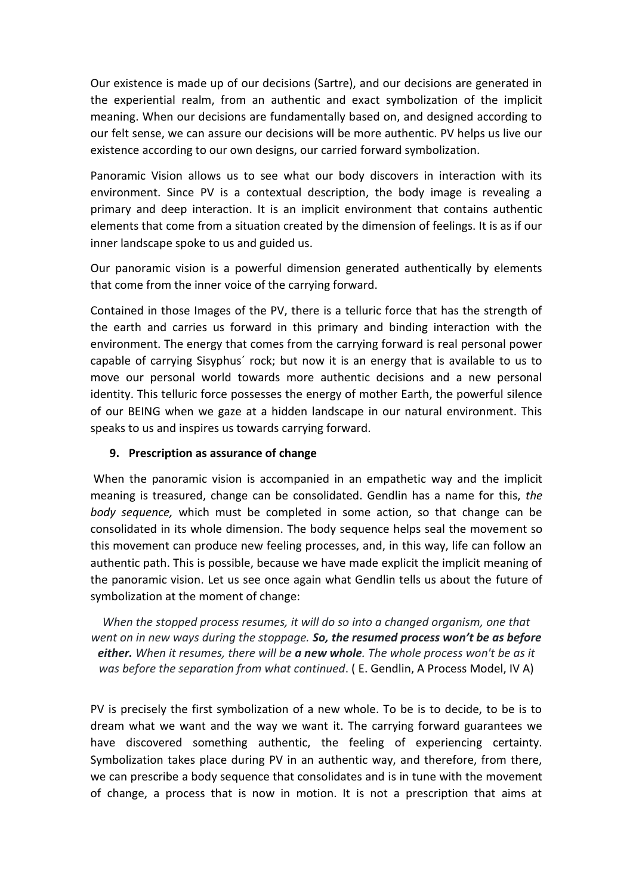Our existence is made up of our decisions (Sartre), and our decisions are generated in the experiential realm, from an authentic and exact symbolization of the implicit meaning. When our decisions are fundamentally based on, and designed according to our felt sense, we can assure our decisions will be more authentic. PV helps us live our existence according to our own designs, our carried forward symbolization.

Panoramic Vision allows us to see what our body discovers in interaction with its environment. Since PV is a contextual description, the body image is revealing a primary and deep interaction. It is an implicit environment that contains authentic elements that come from a situation created by the dimension of feelings. It is as if our inner landscape spoke to us and guided us.

Our panoramic vision is a powerful dimension generated authentically by elements that come from the inner voice of the carrying forward.

Contained in those Images of the PV, there is a telluric force that has the strength of the earth and carries us forward in this primary and binding interaction with the environment. The energy that comes from the carrying forward is real personal power capable of carrying Sisyphus´ rock; but now it is an energy that is available to us to move our personal world towards more authentic decisions and a new personal identity. This telluric force possesses the energy of mother Earth, the powerful silence of our BEING when we gaze at a hidden landscape in our natural environment. This speaks to us and inspires us towards carrying forward.

## **9. Prescription as assurance of change**

When the panoramic vision is accompanied in an empathetic way and the implicit meaning is treasured, change can be consolidated. Gendlin has a name for this, *the body sequence,* which must be completed in some action, so that change can be consolidated in its whole dimension. The body sequence helps seal the movement so this movement can produce new feeling processes, and, in this way, life can follow an authentic path. This is possible, because we have made explicit the implicit meaning of the panoramic vision. Let us see once again what Gendlin tells us about the future of symbolization at the moment of change:

*When the stopped process resumes, it will do so into a changed organism, one that went on in new ways during the stoppage. So, the resumed process won't be as before either. When it resumes, there will be a new whole. The whole process won't be as it was before the separation from what continued*. ( E. Gendlin, A Process Model, IV A)

PV is precisely the first symbolization of a new whole. To be is to decide, to be is to dream what we want and the way we want it. The carrying forward guarantees we have discovered something authentic, the feeling of experiencing certainty. Symbolization takes place during PV in an authentic way, and therefore, from there, we can prescribe a body sequence that consolidates and is in tune with the movement of change, a process that is now in motion. It is not a prescription that aims at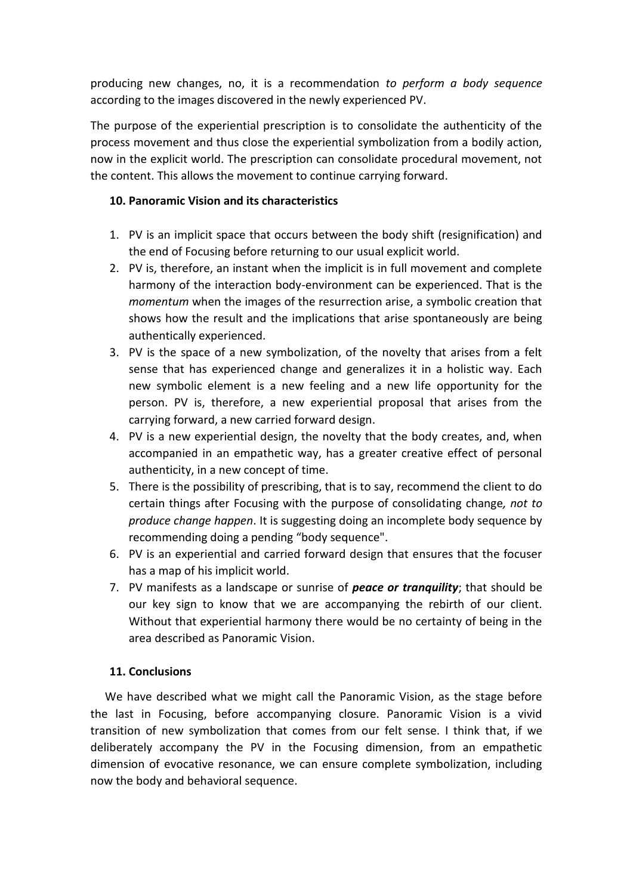producing new changes, no, it is a recommendation *to perform a body sequence* according to the images discovered in the newly experienced PV.

The purpose of the experiential prescription is to consolidate the authenticity of the process movement and thus close the experiential symbolization from a bodily action, now in the explicit world. The prescription can consolidate procedural movement, not the content. This allows the movement to continue carrying forward.

## **10. Panoramic Vision and its characteristics**

- 1. PV is an implicit space that occurs between the body shift (resignification) and the end of Focusing before returning to our usual explicit world.
- 2. PV is, therefore, an instant when the implicit is in full movement and complete harmony of the interaction body-environment can be experienced. That is the *momentum* when the images of the resurrection arise, a symbolic creation that shows how the result and the implications that arise spontaneously are being authentically experienced.
- 3. PV is the space of a new symbolization, of the novelty that arises from a felt sense that has experienced change and generalizes it in a holistic way. Each new symbolic element is a new feeling and a new life opportunity for the person. PV is, therefore, a new experiential proposal that arises from the carrying forward, a new carried forward design.
- 4. PV is a new experiential design, the novelty that the body creates, and, when accompanied in an empathetic way, has a greater creative effect of personal authenticity, in a new concept of time.
- 5. There is the possibility of prescribing, that is to say, recommend the client to do certain things after Focusing with the purpose of consolidating change*, not to produce change happen*. It is suggesting doing an incomplete body sequence by recommending doing a pending "body sequence".
- 6. PV is an experiential and carried forward design that ensures that the focuser has a map of his implicit world.
- 7. PV manifests as a landscape or sunrise of *peace or tranquility*; that should be our key sign to know that we are accompanying the rebirth of our client. Without that experiential harmony there would be no certainty of being in the area described as Panoramic Vision.

## **11. Conclusions**

 We have described what we might call the Panoramic Vision, as the stage before the last in Focusing, before accompanying closure. Panoramic Vision is a vivid transition of new symbolization that comes from our felt sense. I think that, if we deliberately accompany the PV in the Focusing dimension, from an empathetic dimension of evocative resonance, we can ensure complete symbolization, including now the body and behavioral sequence.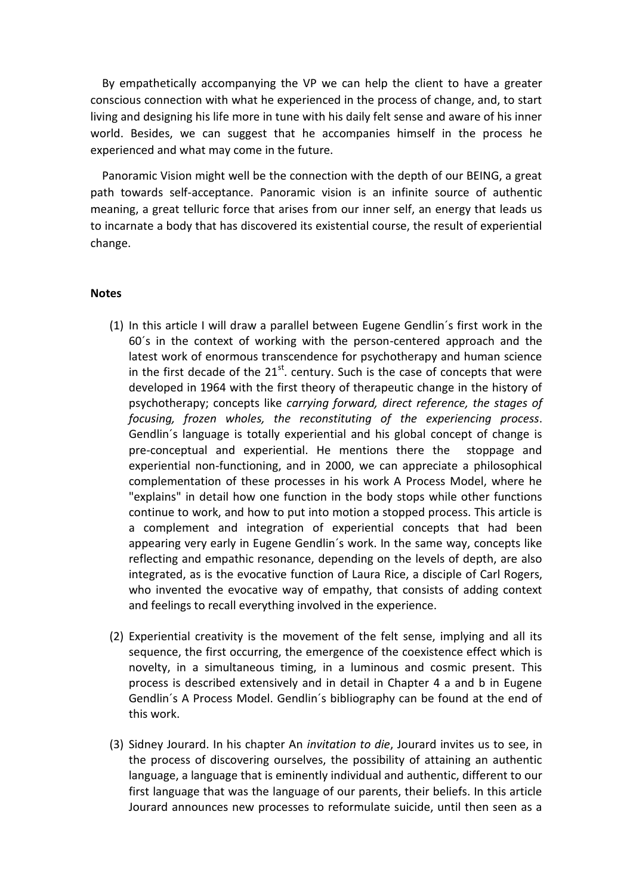By empathetically accompanying the VP we can help the client to have a greater conscious connection with what he experienced in the process of change, and, to start living and designing his life more in tune with his daily felt sense and aware of his inner world. Besides, we can suggest that he accompanies himself in the process he experienced and what may come in the future.

 Panoramic Vision might well be the connection with the depth of our BEING, a great path towards self-acceptance. Panoramic vision is an infinite source of authentic meaning, a great telluric force that arises from our inner self, an energy that leads us to incarnate a body that has discovered its existential course, the result of experiential change.

#### **Notes**

- (1) In this article I will draw a parallel between Eugene Gendlin´s first work in the 60´s in the context of working with the person-centered approach and the latest work of enormous transcendence for psychotherapy and human science in the first decade of the  $21^{st}$ . century. Such is the case of concepts that were developed in 1964 with the first theory of therapeutic change in the history of psychotherapy; concepts like *carrying forward, direct reference, the stages of focusing, frozen wholes, the reconstituting of the experiencing process*. Gendlin´s language is totally experiential and his global concept of change is pre-conceptual and experiential. He mentions there the stoppage and experiential non-functioning, and in 2000, we can appreciate a philosophical complementation of these processes in his work A Process Model, where he "explains" in detail how one function in the body stops while other functions continue to work, and how to put into motion a stopped process. This article is a complement and integration of experiential concepts that had been appearing very early in Eugene Gendlin´s work. In the same way, concepts like reflecting and empathic resonance, depending on the levels of depth, are also integrated, as is the evocative function of Laura Rice, a disciple of Carl Rogers, who invented the evocative way of empathy, that consists of adding context and feelings to recall everything involved in the experience.
- (2) Experiential creativity is the movement of the felt sense, implying and all its sequence, the first occurring, the emergence of the coexistence effect which is novelty, in a simultaneous timing, in a luminous and cosmic present. This process is described extensively and in detail in Chapter 4 a and b in Eugene Gendlin´s A Process Model. Gendlin´s bibliography can be found at the end of this work.
- (3) Sidney Jourard. In his chapter An *invitation to die*, Jourard invites us to see, in the process of discovering ourselves, the possibility of attaining an authentic language, a language that is eminently individual and authentic, different to our first language that was the language of our parents, their beliefs. In this article Jourard announces new processes to reformulate suicide, until then seen as a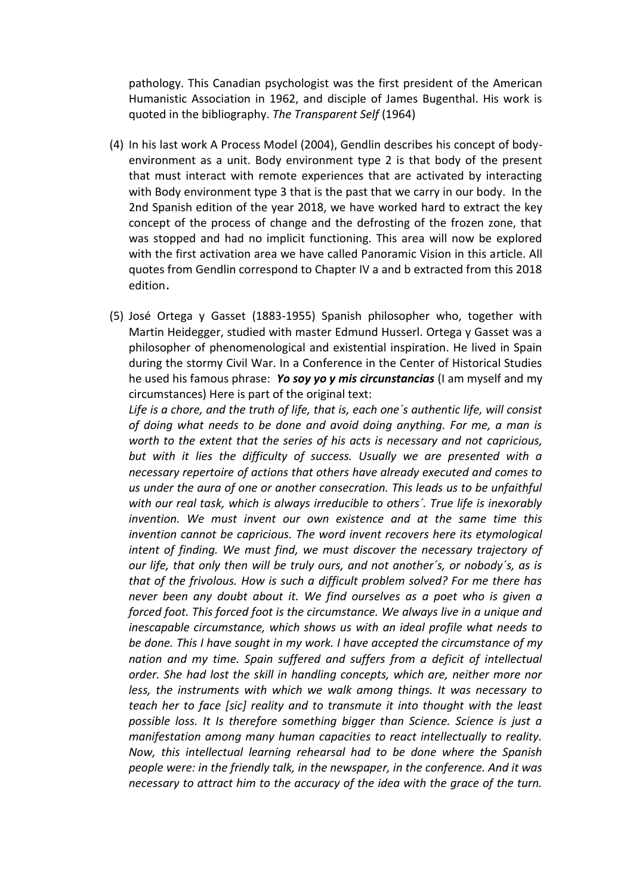pathology. This Canadian psychologist was the first president of the American Humanistic Association in 1962, and disciple of James Bugenthal. His work is quoted in the bibliography. *The Transparent Self* (1964)

- (4) In his last work A Process Model (2004), Gendlin describes his concept of bodyenvironment as a unit. Body environment type 2 is that body of the present that must interact with remote experiences that are activated by interacting with Body environment type 3 that is the past that we carry in our body. In the 2nd Spanish edition of the year 2018, we have worked hard to extract the key concept of the process of change and the defrosting of the frozen zone, that was stopped and had no implicit functioning. This area will now be explored with the first activation area we have called Panoramic Vision in this article. All quotes from Gendlin correspond to Chapter IV a and b extracted from this 2018 edition.
- (5) José Ortega y Gasset (1883-1955) Spanish philosopher who, together with Martin Heidegger, studied with master Edmund Husserl. Ortega y Gasset was a philosopher of phenomenological and existential inspiration. He lived in Spain during the stormy Civil War. In a Conference in the Center of Historical Studies he used his famous phrase: *Yo soy yo y mis circunstancias* (I am myself and my circumstances) Here is part of the original text:

*Life is a chore, and the truth of life, that is, each one´s authentic life, will consist of doing what needs to be done and avoid doing anything. For me, a man is worth to the extent that the series of his acts is necessary and not capricious, but with it lies the difficulty of success. Usually we are presented with a necessary repertoire of actions that others have already executed and comes to us under the aura of one or another consecration. This leads us to be unfaithful with our real task, which is always irreducible to others´. True life is inexorably invention. We must invent our own existence and at the same time this invention cannot be capricious. The word invent recovers here its etymological intent of finding. We must find, we must discover the necessary trajectory of our life, that only then will be truly ours, and not another´s, or nobody´s, as is that of the frivolous. How is such a difficult problem solved? For me there has never been any doubt about it. We find ourselves as a poet who is given a forced foot. This forced foot is the circumstance. We always live in a unique and inescapable circumstance, which shows us with an ideal profile what needs to be done. This I have sought in my work. I have accepted the circumstance of my nation and my time. Spain suffered and suffers from a deficit of intellectual order. She had lost the skill in handling concepts, which are, neither more nor less, the instruments with which we walk among things. It was necessary to teach her to face [sic] reality and to transmute it into thought with the least possible loss. It Is therefore something bigger than Science. Science is just a manifestation among many human capacities to react intellectually to reality. Now, this intellectual learning rehearsal had to be done where the Spanish people were: in the friendly talk, in the newspaper, in the conference. And it was necessary to attract him to the accuracy of the idea with the grace of the turn.*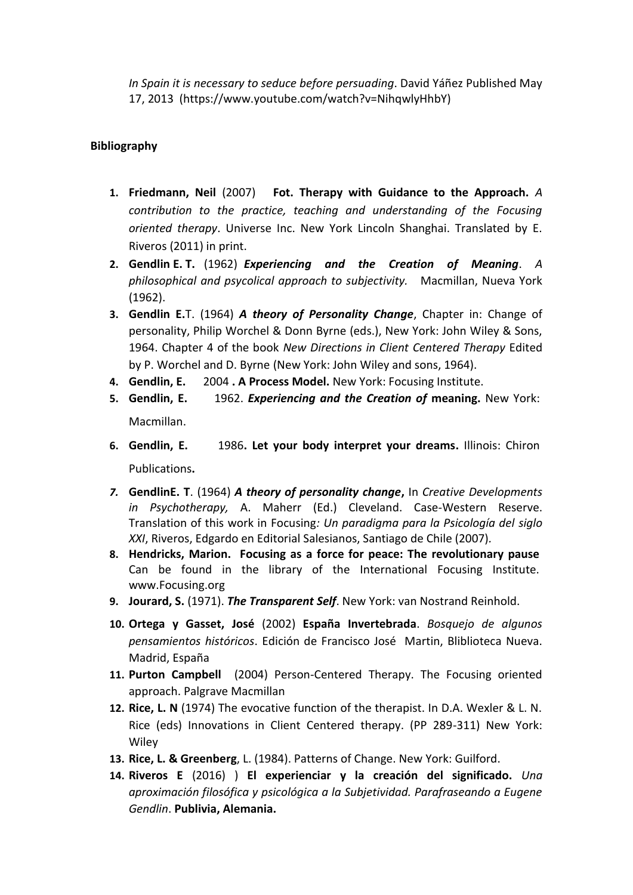*In Spain it is necessary to seduce before persuading*. David Yáñez Published May 17, 2013 (https://www.youtube.com/watch?v=NihqwlyHhbY)

## **Bibliography**

- **1. Friedmann, Neil** (2007)**Fot. Therapy with Guidance to the Approach.** *A contribution to the practice, teaching and understanding of the Focusing oriented therapy*. Universe Inc. New York Lincoln Shanghai. Translated by E. Riveros (2011) in print.
- **2. Gendlin E. T.** (1962) *Experiencing and the Creation of Meaning*. *A philosophical and psycolical approach to subjectivity.* Macmillan, Nueva York (1962).
- **3. Gendlin E.**T. (1964) *A theory of Personality Change*, Chapter in: Change of personality, Philip Worchel & Donn Byrne (eds.), New York: John Wiley & Sons, 1964. Chapter 4 of the book *New Directions in Client Centered Therapy* Edited by P. Worchel and D. Byrne (New York: John Wiley and sons, 1964).
- **4. Gendlin, E.** 2004 **. A Process Model.** New York: Focusing Institute.
- **5. Gendlin, E.** 1962. *Experiencing and the Creation of* **meaning.** New York: Macmillan.

- **6. Gendlin, E.** 1986**. Let your body interpret your dreams.** Illinois: Chiron Publications**.**
- *7.* **GendlinE. T**. (1964) *A theory of personality change***,** In *Creative Developments in Psychotherapy,* A. Maherr (Ed.) Cleveland. Case-Western Reserve. Translation of this work in Focusing*: Un paradigma para la Psicología del siglo XXI*, Riveros, Edgardo en Editorial Salesianos, Santiago de Chile (2007)*.*
- **8. Hendricks, Marion. Focusing as a force for peace: The revolutionary pause**  Can be found in the library of the International Focusing Institute. www.Focusing.org
- **9. Jourard, S.** (1971). *The Transparent Self*. New York: van Nostrand Reinhold.
- **10. Ortega y Gasset, José** (2002) **España Invertebrada**. *Bosquejo de algunos pensamientos históricos*. Edición de Francisco José Martin, Bliblioteca Nueva. Madrid, España
- **11. Purton Campbell** (2004) Person-Centered Therapy. The Focusing oriented approach. Palgrave Macmillan
- **12. Rice, L. N** (1974) The evocative function of the therapist. In D.A. Wexler & L. N. Rice (eds) Innovations in Client Centered therapy. (PP 289-311) New York: **Wiley**
- **13. Rice, L. & Greenberg**, L. (1984). Patterns of Change. New York: Guilford.
- **14. Riveros E** (2016) ) **El experienciar y la creación del significado.** *Una aproximación filosófica y psicológica a la Subjetividad. Parafraseando a Eugene Gendlin*. **Publivia, Alemania.**